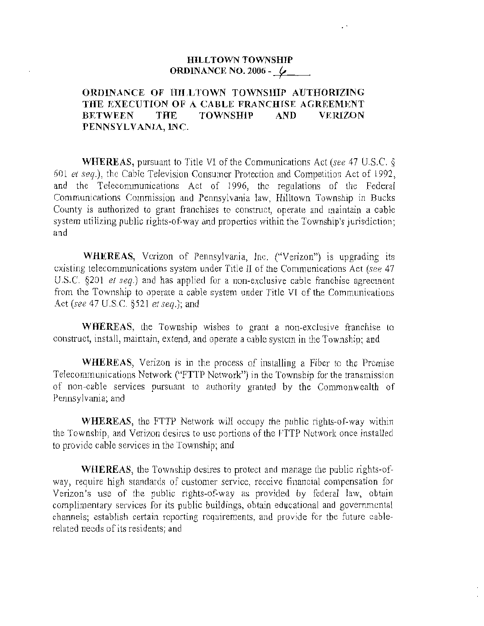## **HILLTOWN TOWNSHIP ORDINANCE NO. 2006 -** /

 $\ddot{\phantom{0}}$ 

## **ORDIN ANCE OF HILLTOWN TOWNSHIP AUTHORIZING THE EXECUTION OF A CABLE FRANCHISE AGRREMENT BETWEEN THE TOWNSHlP AND VERIZON PENNSYLVANIA, INC.**

**WHEREAS,** pursuant to Title VI of the Communications Act (see 47 *U.S.C.* § 601 *et seq.*), the Cable Television Consumer Protection and Competition Act of 1992, and the Telecommunications Act of 1996, the regulations of the Federal Communications Commission and Pennsylvania law, Hilltown Township in Bucks County is authorized to grant franchises to construct, operate and maintain a cable system utilizing public rights-of-way and properties within the Township's jurisdiction; and

**WHEREAS,** Verizon of Pennsylvania, Inc. ("Verizon") is upgrading its existing telecommunications system under Title II of the Communications Act (see 47 *U.S.C.* §201 *et seq.*) and has applied for a non-exclusive cable franchise agreement from the Township to operate a cable system under Title VI of the Communications Act (see 47 *U.S .C.* §521 et seq.); and

**WHEREAS,** the Township wishes to grant a non-exclusive franchise to construct, install, maintain, extend, and operate a cable system in the Township; and

**\VHEREAS,** Verizon is in the process of installing a Fiber to the Premise Telecommunications Network ("FTTP Network") in the Township for the transmission of non-cable services pursuant to authority granted by the Commonwealth of Pennsylvania; and

**WHEREAS,** the FTTP Network will occupy the public rights-of-way within the Township, and Verizon desires to use portions of the FTTP Network once installed *to* provide cable services in the Township; and

**WHEREAS,** the Township desires to protect and manage the public rights-ofway, require high standards of customer service, receive financial compensation for Verizon's use of the public rights-of-way as provided by federal law, obtain complimentary services for its public buildings, obtain educational and governmental channels; establish certain reporting requirements, and provide for the future cablerelated needs of its residents; and